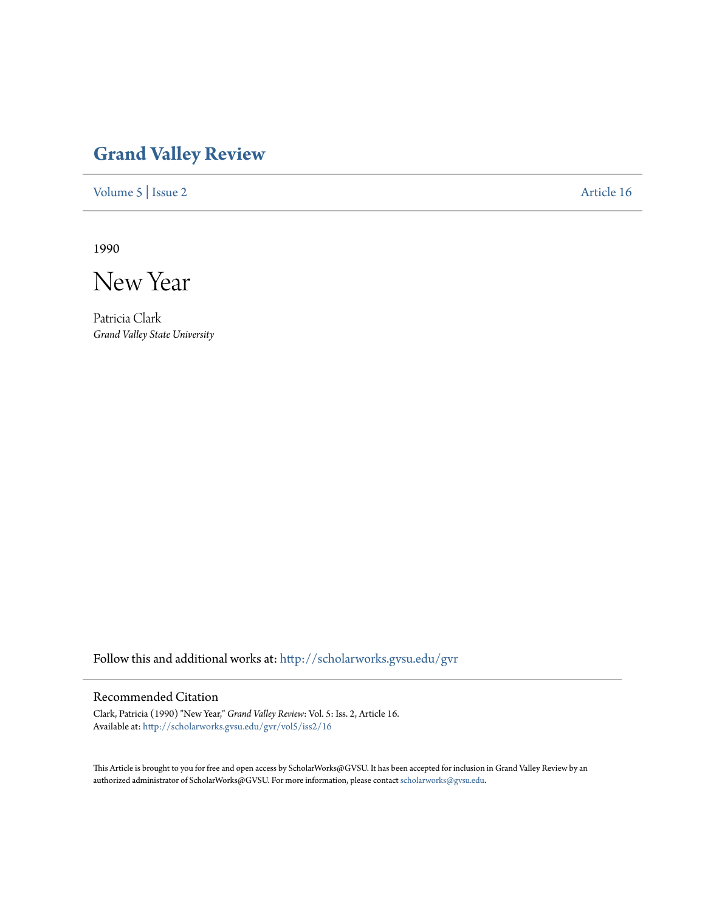## **[Grand Valley Review](http://scholarworks.gvsu.edu/gvr?utm_source=scholarworks.gvsu.edu%2Fgvr%2Fvol5%2Fiss2%2F16&utm_medium=PDF&utm_campaign=PDFCoverPages)**

[Volume 5](http://scholarworks.gvsu.edu/gvr/vol5?utm_source=scholarworks.gvsu.edu%2Fgvr%2Fvol5%2Fiss2%2F16&utm_medium=PDF&utm_campaign=PDFCoverPages) | [Issue 2](http://scholarworks.gvsu.edu/gvr/vol5/iss2?utm_source=scholarworks.gvsu.edu%2Fgvr%2Fvol5%2Fiss2%2F16&utm_medium=PDF&utm_campaign=PDFCoverPages) [Article 16](http://scholarworks.gvsu.edu/gvr/vol5/iss2/16?utm_source=scholarworks.gvsu.edu%2Fgvr%2Fvol5%2Fiss2%2F16&utm_medium=PDF&utm_campaign=PDFCoverPages)

1990

New Year

Patricia Clark *Grand Valley State University*

Follow this and additional works at: [http://scholarworks.gvsu.edu/gvr](http://scholarworks.gvsu.edu/gvr?utm_source=scholarworks.gvsu.edu%2Fgvr%2Fvol5%2Fiss2%2F16&utm_medium=PDF&utm_campaign=PDFCoverPages)

## Recommended Citation

Clark, Patricia (1990) "New Year," *Grand Valley Review*: Vol. 5: Iss. 2, Article 16. Available at: [http://scholarworks.gvsu.edu/gvr/vol5/iss2/16](http://scholarworks.gvsu.edu/gvr/vol5/iss2/16?utm_source=scholarworks.gvsu.edu%2Fgvr%2Fvol5%2Fiss2%2F16&utm_medium=PDF&utm_campaign=PDFCoverPages)

This Article is brought to you for free and open access by ScholarWorks@GVSU. It has been accepted for inclusion in Grand Valley Review by an authorized administrator of ScholarWorks@GVSU. For more information, please contact [scholarworks@gvsu.edu.](mailto:scholarworks@gvsu.edu)